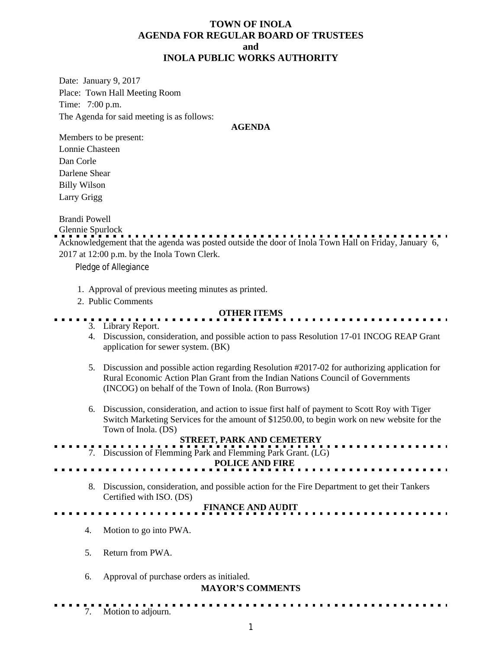# **TOWN OF INOLA AGENDA FOR REGULAR BOARD OF TRUSTEES and INOLA PUBLIC WORKS AUTHORITY**

Date: January 9, 2017 Place: Town Hall Meeting Room Time: 7:00 p.m. The Agenda for said meeting is as follows:

#### **AGENDA**

Members to be present: Lonnie Chasteen Dan Corle Darlene Shear Billy Wilson Larry Grigg

Brandi Powell

Glennie Spurlock

Acknowledgement that the agenda was posted outside the door of Inola Town Hall on Friday, January 6, 2017 at 12:00 p.m. by the Inola Town Clerk.

Pledge of Allegiance

- 1. Approval of previous meeting minutes as printed.
- 2. Public Comments

## **OTHER ITEMS**

- 3. Library Report.
- 4. Discussion, consideration, and possible action to pass Resolution 17-01 INCOG REAP Grant application for sewer system. (BK)
- 5. Discussion and possible action regarding Resolution #2017-02 for authorizing application for Rural Economic Action Plan Grant from the Indian Nations Council of Governments (INCOG) on behalf of the Town of Inola. (Ron Burrows)
- 6. Discussion, consideration, and action to issue first half of payment to Scott Roy with Tiger Switch Marketing Services for the amount of \$1250.00, to begin work on new website for the Town of Inola. (DS)

# **STREET, PARK AND CEMETERY**

7. Discussion of Flemming Park and Flemming Park Grant. (LG)  **POLICE AND FIRE**

8. Discussion, consideration, and possible action for the Fire Department to get their Tankers Certified with ISO. (DS)

### **FINANCE AND AUDIT**

- 4. Motion to go into PWA.
- 5. Return from PWA.
- 6. Approval of purchase orders as initialed.

#### **MAYOR'S COMMENTS**

. . . . . .

7. Motion to adjourn.